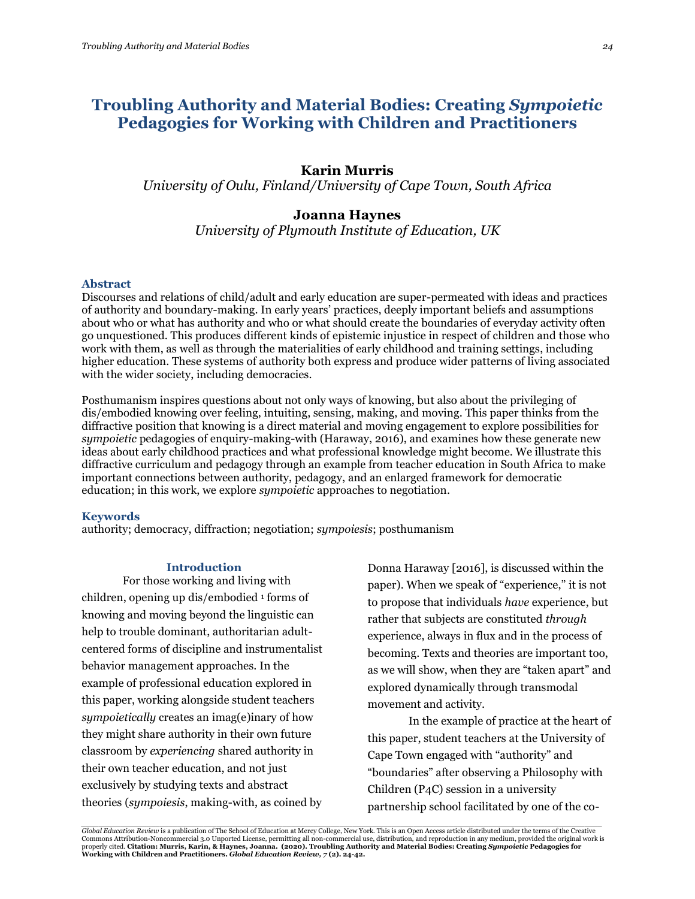## **Karin Murris**

*University of Oulu, Finland/University of Cape Town, South Africa*

## **Joanna Haynes**

*University of Plymouth Institute of Education, UK*

### **Abstract**

Discourses and relations of child/adult and early education are super-permeated with ideas and practices of authority and boundary-making. In early years' practices, deeply important beliefs and assumptions about who or what has authority and who or what should create the boundaries of everyday activity often go unquestioned. This produces different kinds of epistemic injustice in respect of children and those who work with them, as well as through the materialities of early childhood and training settings, including higher education. These systems of authority both express and produce wider patterns of living associated with the wider society, including democracies.

Posthumanism inspires questions about not only ways of knowing, but also about the privileging of dis/embodied knowing over feeling, intuiting, sensing, making, and moving. This paper thinks from the diffractive position that knowing is a direct material and moving engagement to explore possibilities for *sympoietic* pedagogies of enquiry-making-with (Haraway, 2016), and examines how these generate new ideas about early childhood practices and what professional knowledge might become. We illustrate this diffractive curriculum and pedagogy through an example from teacher education in South Africa to make important connections between authority, pedagogy, and an enlarged framework for democratic education; in this work, we explore *sympoietic* approaches to negotiation.

#### **Keywords**

authority; democracy, diffraction; negotiation; *sympoiesis*; posthumanism

#### **Introduction**

For those working and living with children, opening up dis/embodied <sup>1</sup> forms of knowing and moving beyond the linguistic can help to trouble dominant, authoritarian adultcentered forms of discipline and instrumentalist behavior management approaches. In the example of professional education explored in this paper, working alongside student teachers *sympoietically* creates an imag(e)inary of how they might share authority in their own future classroom by *experiencing* shared authority in their own teacher education, and not just exclusively by studying texts and abstract theories (*sympoiesis*, making-with, as coined by

Donna Haraway [2016], is discussed within the paper). When we speak of "experience," it is not to propose that individuals *have* experience, but rather that subjects are constituted *through*  experience, always in flux and in the process of becoming. Texts and theories are important too, as we will show, when they are "taken apart" and explored dynamically through transmodal movement and activity.

In the example of practice at the heart of this paper, student teachers at the University of Cape Town engaged with "authority" and "boundaries" after observing a Philosophy with Children (P4C) session in a university partnership school facilitated by one of the co-

.<br>Global Education Review is a publication of The School of Education at Mercy College, New York. This is an Open Access article distributed under the terms of the Creative Commons Attribution-Noncommercial 3.0 Unported License, permitting all non-commercial use, distribution, and reproduction in any medium, provided the original work is properly cited. Citation: Murris, Karin, & Haynes, Joanna. (2020). Troubling Authority and Material Bodies: Creating *Sympoietic* Pedagogies for<br>Working with Children and Practitioners. *Global Education Review, 7* (2). 2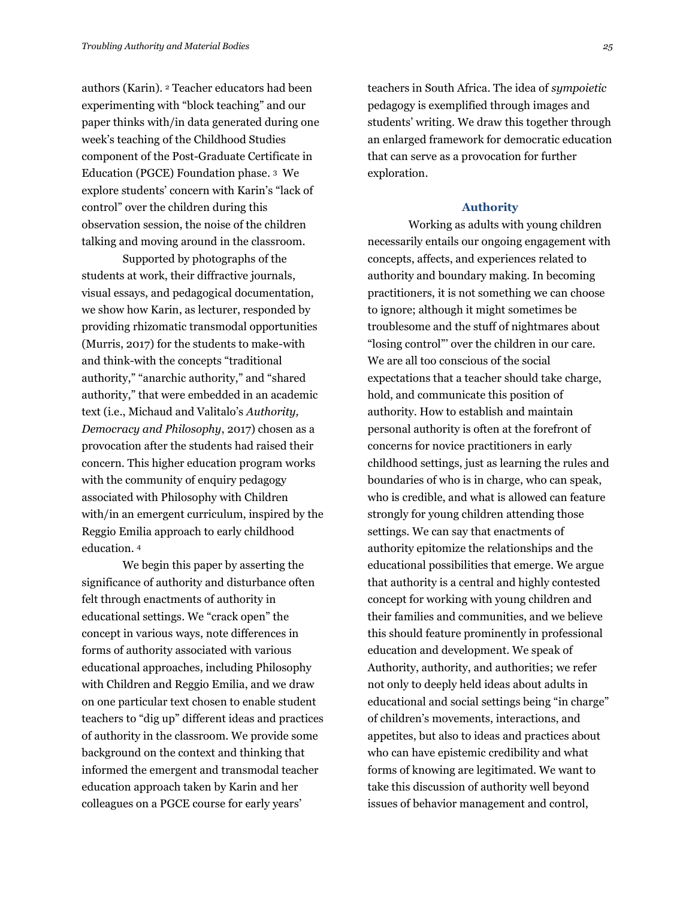authors (Karin). <sup>2</sup> Teacher educators had been experimenting with "block teaching" and our paper thinks with/in data generated during one week's teaching of the Childhood Studies component of the Post-Graduate Certificate in Education (PGCE) Foundation phase. <sup>3</sup> We explore students' concern with Karin's "lack of control" over the children during this observation session, the noise of the children talking and moving around in the classroom.

Supported by photographs of the students at work, their diffractive journals, visual essays, and pedagogical documentation, we show how Karin, as lecturer, responded by providing rhizomatic transmodal opportunities (Murris, 2017) for the students to make-with and think-with the concepts "traditional authority," "anarchic authority," and "shared authority," that were embedded in an academic text (i.e., Michaud and Valitalo's *Authority, Democracy and Philosophy*, 2017) chosen as a provocation after the students had raised their concern. This higher education program works with the community of enquiry pedagogy associated with Philosophy with Children with/in an emergent curriculum, inspired by the Reggio Emilia approach to early childhood education. <sup>4</sup>

We begin this paper by asserting the significance of authority and disturbance often felt through enactments of authority in educational settings. We "crack open" the concept in various ways, note differences in forms of authority associated with various educational approaches, including Philosophy with Children and Reggio Emilia, and we draw on one particular text chosen to enable student teachers to "dig up" different ideas and practices of authority in the classroom. We provide some background on the context and thinking that informed the emergent and transmodal teacher education approach taken by Karin and her colleagues on a PGCE course for early years'

teachers in South Africa. The idea of *sympoietic*  pedagogy is exemplified through images and students' writing. We draw this together through an enlarged framework for democratic education that can serve as a provocation for further exploration.

### **Authority**

Working as adults with young children necessarily entails our ongoing engagement with concepts, affects, and experiences related to authority and boundary making. In becoming practitioners, it is not something we can choose to ignore; although it might sometimes be troublesome and the stuff of nightmares about "losing control"' over the children in our care. We are all too conscious of the social expectations that a teacher should take charge, hold, and communicate this position of authority. How to establish and maintain personal authority is often at the forefront of concerns for novice practitioners in early childhood settings, just as learning the rules and boundaries of who is in charge, who can speak, who is credible, and what is allowed can feature strongly for young children attending those settings. We can say that enactments of authority epitomize the relationships and the educational possibilities that emerge. We argue that authority is a central and highly contested concept for working with young children and their families and communities, and we believe this should feature prominently in professional education and development. We speak of Authority, authority, and authorities; we refer not only to deeply held ideas about adults in educational and social settings being "in charge" of children's movements, interactions, and appetites, but also to ideas and practices about who can have epistemic credibility and what forms of knowing are legitimated. We want to take this discussion of authority well beyond issues of behavior management and control,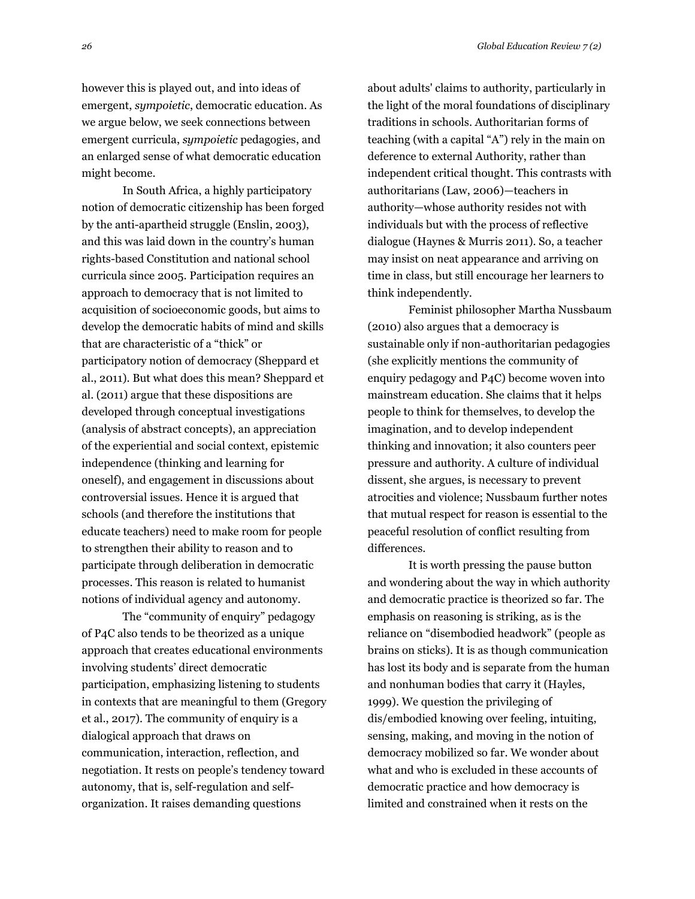however this is played out, and into ideas of emergent, *sympoietic*, democratic education. As we argue below, we seek connections between emergent curricula, *sympoietic* pedagogies, and an enlarged sense of what democratic education might become.

In South Africa, a highly participatory notion of democratic citizenship has been forged by the anti-apartheid struggle (Enslin, 2003), and this was laid down in the country's human rights-based Constitution and national school curricula since 2005. Participation requires an approach to democracy that is not limited to acquisition of socioeconomic goods, but aims to develop the democratic habits of mind and skills that are characteristic of a "thick" or participatory notion of democracy (Sheppard et al., 2011). But what does this mean? Sheppard et al. (2011) argue that these dispositions are developed through conceptual investigations (analysis of abstract concepts), an appreciation of the experiential and social context, epistemic independence (thinking and learning for oneself), and engagement in discussions about controversial issues. Hence it is argued that schools (and therefore the institutions that educate teachers) need to make room for people to strengthen their ability to reason and to participate through deliberation in democratic processes. This reason is related to humanist notions of individual agency and autonomy.

The "community of enquiry" pedagogy of P4C also tends to be theorized as a unique approach that creates educational environments involving students' direct democratic participation, emphasizing listening to students in contexts that are meaningful to them (Gregory et al., 2017). The community of enquiry is a dialogical approach that draws on communication, interaction, reflection, and negotiation. It rests on people's tendency toward autonomy, that is, self-regulation and selforganization. It raises demanding questions

about adults' claims to authority, particularly in the light of the moral foundations of disciplinary traditions in schools. Authoritarian forms of teaching (with a capital "A") rely in the main on deference to external Authority, rather than independent critical thought. This contrasts with authoritarians (Law, 2006)—teachers in authority—whose authority resides not with individuals but with the process of reflective dialogue (Haynes & Murris 2011). So, a teacher may insist on neat appearance and arriving on time in class, but still encourage her learners to think independently.

Feminist philosopher Martha Nussbaum (2010) also argues that a democracy is sustainable only if non-authoritarian pedagogies (she explicitly mentions the community of enquiry pedagogy and P4C) become woven into mainstream education. She claims that it helps people to think for themselves, to develop the imagination, and to develop independent thinking and innovation; it also counters peer pressure and authority. A culture of individual dissent, she argues, is necessary to prevent atrocities and violence; Nussbaum further notes that mutual respect for reason is essential to the peaceful resolution of conflict resulting from differences.

It is worth pressing the pause button and wondering about the way in which authority and democratic practice is theorized so far. The emphasis on reasoning is striking, as is the reliance on "disembodied headwork" (people as brains on sticks). It is as though communication has lost its body and is separate from the human and nonhuman bodies that carry it (Hayles, 1999). We question the privileging of dis/embodied knowing over feeling, intuiting, sensing, making, and moving in the notion of democracy mobilized so far. We wonder about what and who is excluded in these accounts of democratic practice and how democracy is limited and constrained when it rests on the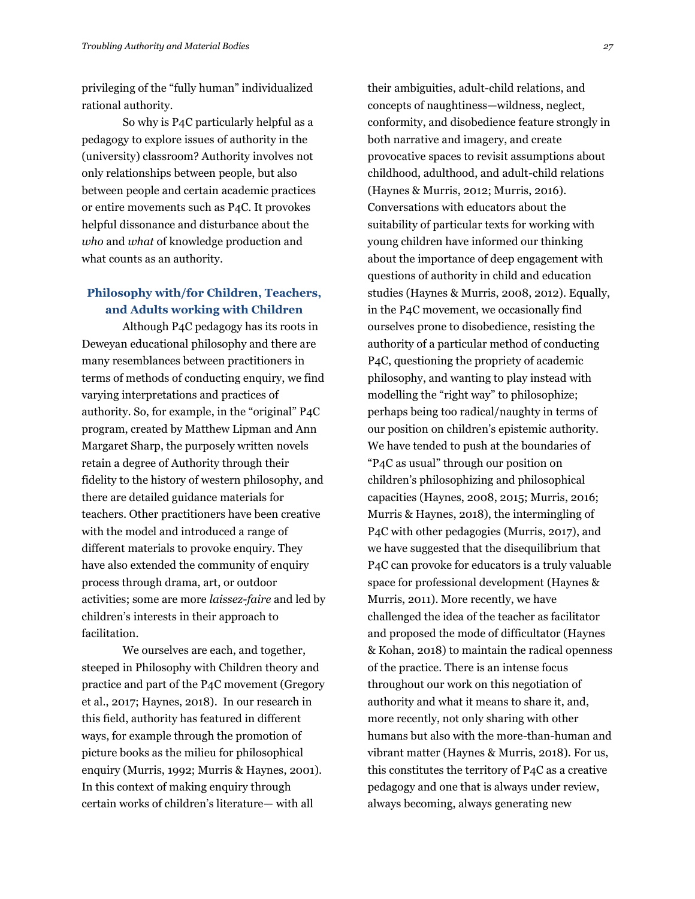privileging of the "fully human" individualized rational authority.

So why is P4C particularly helpful as a pedagogy to explore issues of authority in the (university) classroom? Authority involves not only relationships between people, but also between people and certain academic practices or entire movements such as P4C. It provokes helpful dissonance and disturbance about the *who* and *what* of knowledge production and what counts as an authority.

## **Philosophy with/for Children, Teachers, and Adults working with Children**

Although P4C pedagogy has its roots in Deweyan educational philosophy and there are many resemblances between practitioners in terms of methods of conducting enquiry, we find varying interpretations and practices of authority. So, for example, in the "original" P4C program, created by Matthew Lipman and Ann Margaret Sharp, the purposely written novels retain a degree of Authority through their fidelity to the history of western philosophy, and there are detailed guidance materials for teachers. Other practitioners have been creative with the model and introduced a range of different materials to provoke enquiry. They have also extended the community of enquiry process through drama, art, or outdoor activities; some are more *laissez-faire* and led by children's interests in their approach to facilitation.

We ourselves are each, and together, steeped in Philosophy with Children theory and practice and part of the P4C movement (Gregory et al., 2017; Haynes, 2018). In our research in this field, authority has featured in different ways, for example through the promotion of picture books as the milieu for philosophical enquiry (Murris, 1992; Murris & Haynes, 2001). In this context of making enquiry through certain works of children's literature— with all

their ambiguities, adult-child relations, and concepts of naughtiness—wildness, neglect, conformity, and disobedience feature strongly in both narrative and imagery, and create provocative spaces to revisit assumptions about childhood, adulthood, and adult-child relations (Haynes & Murris, 2012; Murris, 2016). Conversations with educators about the suitability of particular texts for working with young children have informed our thinking about the importance of deep engagement with questions of authority in child and education studies (Haynes & Murris, 2008, 2012). Equally, in the P4C movement, we occasionally find ourselves prone to disobedience, resisting the authority of a particular method of conducting P4C, questioning the propriety of academic philosophy, and wanting to play instead with modelling the "right way" to philosophize; perhaps being too radical/naughty in terms of our position on children's epistemic authority. We have tended to push at the boundaries of "P4C as usual" through our position on children's philosophizing and philosophical capacities (Haynes, 2008, 2015; Murris, 2016; Murris & Haynes, 2018), the intermingling of P4C with other pedagogies (Murris, 2017), and we have suggested that the disequilibrium that P4C can provoke for educators is a truly valuable space for professional development (Haynes & Murris, 2011). More recently, we have challenged the idea of the teacher as facilitator and proposed the mode of difficultator (Haynes & Kohan, 2018) to maintain the radical openness of the practice. There is an intense focus throughout our work on this negotiation of authority and what it means to share it, and, more recently, not only sharing with other humans but also with the more-than-human and vibrant matter (Haynes & Murris, 2018). For us, this constitutes the territory of P4C as a creative pedagogy and one that is always under review, always becoming, always generating new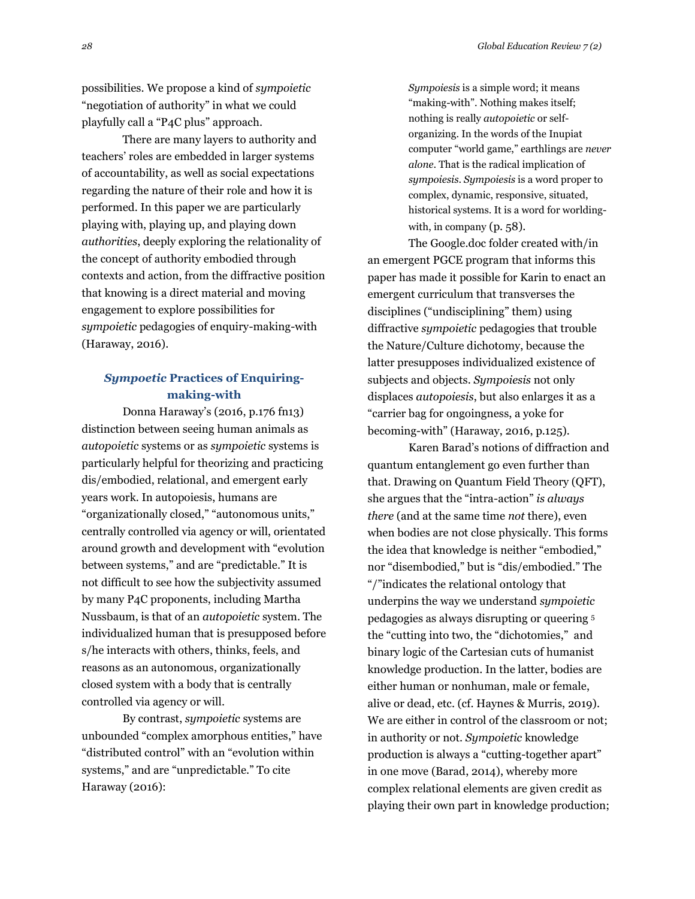possibilities. We propose a kind of *sympoietic*  "negotiation of authority" in what we could playfully call a "P4C plus" approach.

There are many layers to authority and teachers' roles are embedded in larger systems of accountability, as well as social expectations regarding the nature of their role and how it is performed. In this paper we are particularly playing with, playing up, and playing down *authorities*, deeply exploring the relationality of the concept of authority embodied through contexts and action, from the diffractive position that knowing is a direct material and moving engagement to explore possibilities for *sympoietic* pedagogies of enquiry-making-with (Haraway, 2016).

# *Sympoetic* **Practices of Enquiringmaking-with**

Donna Haraway's (2016, p.176 fn13) distinction between seeing human animals as *autopoietic* systems or as *sympoietic* systems is particularly helpful for theorizing and practicing dis/embodied, relational, and emergent early years work. In autopoiesis, humans are "organizationally closed," "autonomous units," centrally controlled via agency or will, orientated around growth and development with "evolution between systems," and are "predictable." It is not difficult to see how the subjectivity assumed by many P4C proponents, including Martha Nussbaum, is that of an *autopoietic* system. The individualized human that is presupposed before s/he interacts with others, thinks, feels, and reasons as an autonomous, organizationally closed system with a body that is centrally controlled via agency or will.

By contrast, *sympoietic* systems are unbounded "complex amorphous entities," have "distributed control" with an "evolution within systems," and are "unpredictable." To cite Haraway (2016):

*Sympoiesis* is a simple word; it means "making-with". Nothing makes itself; nothing is really *autopoietic* or selforganizing. In the words of the Inupiat computer "world game," earthlings are *never alone*. That is the radical implication of *sympoiesis*. *Sympoiesis* is a word proper to complex, dynamic, responsive, situated, historical systems. It is a word for worldingwith, in company (p. 58).

The Google.doc folder created with/in an emergent PGCE program that informs this paper has made it possible for Karin to enact an emergent curriculum that transverses the disciplines ("undisciplining" them) using diffractive *sympoietic* pedagogies that trouble the Nature/Culture dichotomy, because the latter presupposes individualized existence of subjects and objects. *Sympoiesis* not only displaces *autopoiesis*, but also enlarges it as a "carrier bag for ongoingness, a yoke for becoming-with" (Haraway, 2016, p.125).

Karen Barad's notions of diffraction and quantum entanglement go even further than that. Drawing on Quantum Field Theory (QFT), she argues that the "intra-action" *is always there* (and at the same time *not* there), even when bodies are not close physically. This forms the idea that knowledge is neither "embodied," nor "disembodied," but is "dis/embodied." The "/"indicates the relational ontology that underpins the way we understand *sympoietic*  pedagogies as always disrupting or queering <sup>5</sup> the "cutting into two, the "dichotomies," and binary logic of the Cartesian cuts of humanist knowledge production. In the latter, bodies are either human or nonhuman, male or female, alive or dead, etc. (cf. Haynes & Murris, 2019). We are either in control of the classroom or not; in authority or not. *Sympoietic* knowledge production is always a "cutting-together apart" in one move (Barad, 2014), whereby more complex relational elements are given credit as playing their own part in knowledge production;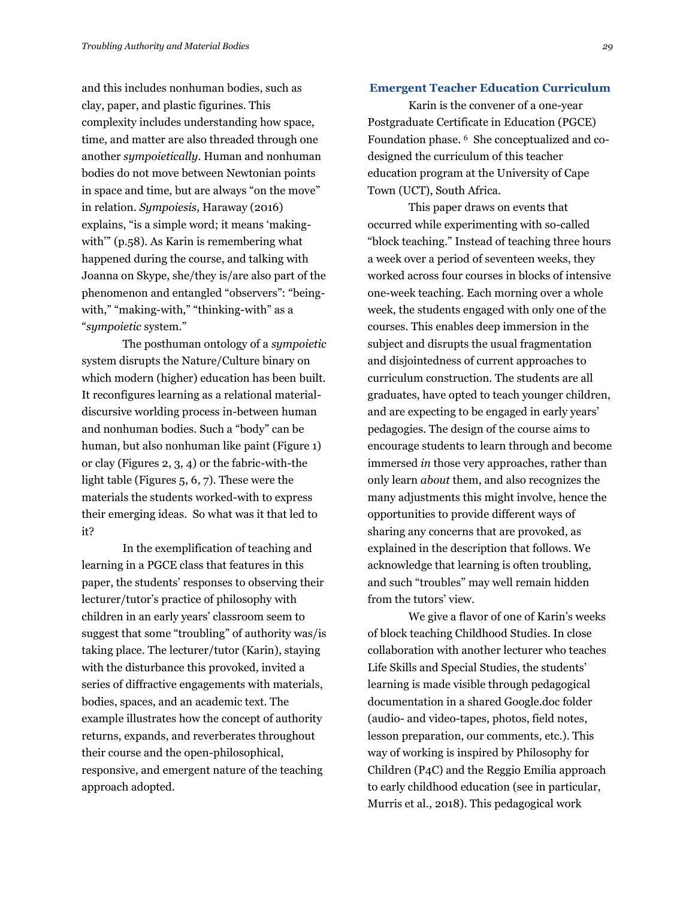and this includes nonhuman bodies, such as clay, paper, and plastic figurines. This complexity includes understanding how space, time, and matter are also threaded through one another *sympoietically*. Human and nonhuman bodies do not move between Newtonian points in space and time, but are always "on the move" in relation. *Sympoiesis*, Haraway (2016) explains, "is a simple word; it means 'makingwith'" (p.58). As Karin is remembering what happened during the course, and talking with Joanna on Skype, she/they is/are also part of the phenomenon and entangled "observers": "beingwith," "making-with," "thinking-with" as a "*sympoietic* system."

The posthuman ontology of a *sympoietic*  system disrupts the Nature/Culture binary on which modern (higher) education has been built. It reconfigures learning as a relational materialdiscursive worlding process in-between human and nonhuman bodies. Such a "body" can be human, but also nonhuman like paint (Figure 1) or clay (Figures 2, 3, 4) or the fabric-with-the light table (Figures 5, 6, 7). These were the materials the students worked-with to express their emerging ideas. So what was it that led to it?

In the exemplification of teaching and learning in a PGCE class that features in this paper, the students' responses to observing their lecturer/tutor's practice of philosophy with children in an early years' classroom seem to suggest that some "troubling" of authority was/is taking place. The lecturer/tutor (Karin), staying with the disturbance this provoked, invited a series of diffractive engagements with materials, bodies, spaces, and an academic text. The example illustrates how the concept of authority returns, expands, and reverberates throughout their course and the open-philosophical, responsive, and emergent nature of the teaching approach adopted.

### **Emergent Teacher Education Curriculum**

Karin is the convener of a one-year Postgraduate Certificate in Education (PGCE) Foundation phase. <sup>6</sup> She conceptualized and codesigned the curriculum of this teacher education program at the University of Cape Town (UCT), South Africa.

This paper draws on events that occurred while experimenting with so-called "block teaching." Instead of teaching three hours a week over a period of seventeen weeks, they worked across four courses in blocks of intensive one-week teaching. Each morning over a whole week, the students engaged with only one of the courses. This enables deep immersion in the subject and disrupts the usual fragmentation and disjointedness of current approaches to curriculum construction. The students are all graduates, have opted to teach younger children, and are expecting to be engaged in early years' pedagogies. The design of the course aims to encourage students to learn through and become immersed *in* those very approaches, rather than only learn *about* them, and also recognizes the many adjustments this might involve, hence the opportunities to provide different ways of sharing any concerns that are provoked, as explained in the description that follows. We acknowledge that learning is often troubling, and such "troubles" may well remain hidden from the tutors' view.

We give a flavor of one of Karin's weeks of block teaching Childhood Studies. In close collaboration with another lecturer who teaches Life Skills and Special Studies, the students' learning is made visible through pedagogical documentation in a shared Google.doc folder (audio- and video-tapes, photos, field notes, lesson preparation, our comments, etc.). This way of working is inspired by Philosophy for Children (P4C) and the Reggio Emilia approach to early childhood education (see in particular, Murris et al., 2018). This pedagogical work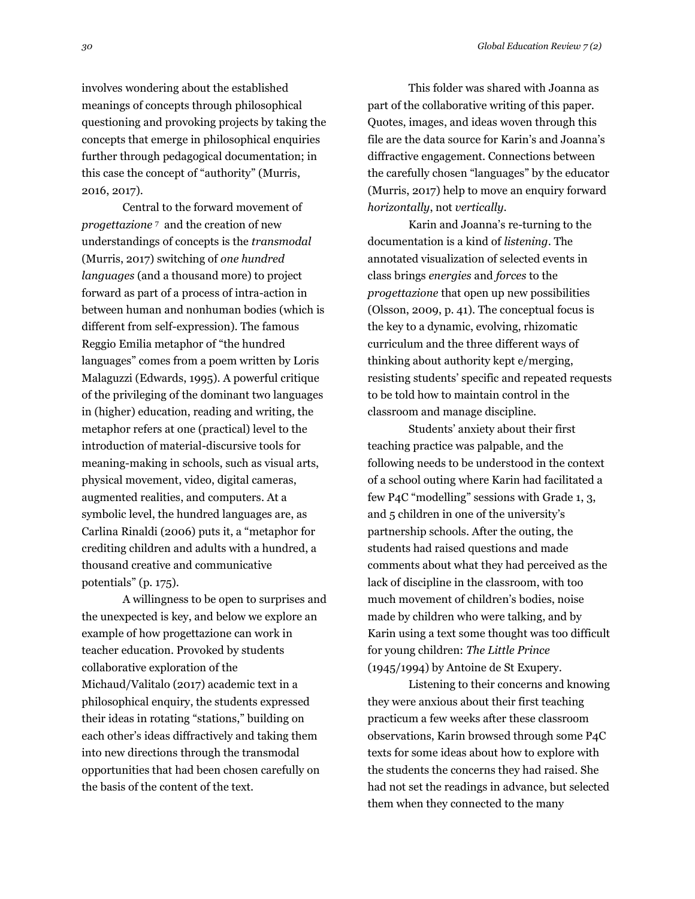involves wondering about the established meanings of concepts through philosophical questioning and provoking projects by taking the concepts that emerge in philosophical enquiries further through pedagogical documentation; in this case the concept of "authority" (Murris, 2016, 2017).

Central to the forward movement of *progettazione* <sup>7</sup> and the creation of new understandings of concepts is the *transmodal*  (Murris, 2017) switching of *one hundred languages* (and a thousand more) to project forward as part of a process of intra-action in between human and nonhuman bodies (which is different from self-expression). The famous Reggio Emilia metaphor of "the hundred languages" comes from a poem written by Loris Malaguzzi (Edwards, 1995). A powerful critique of the privileging of the dominant two languages in (higher) education, reading and writing, the metaphor refers at one (practical) level to the introduction of material-discursive tools for meaning-making in schools, such as visual arts, physical movement, video, digital cameras, augmented realities, and computers. At a symbolic level, the hundred languages are, as Carlina Rinaldi (2006) puts it, a "metaphor for crediting children and adults with a hundred, a thousand creative and communicative potentials" (p. 175).

A willingness to be open to surprises and the unexpected is key, and below we explore an example of how progettazione can work in teacher education. Provoked by students collaborative exploration of the Michaud/Valitalo (2017) academic text in a philosophical enquiry, the students expressed their ideas in rotating "stations," building on each other's ideas diffractively and taking them into new directions through the transmodal opportunities that had been chosen carefully on the basis of the content of the text.

This folder was shared with Joanna as part of the collaborative writing of this paper. Quotes, images, and ideas woven through this file are the data source for Karin's and Joanna's diffractive engagement. Connections between the carefully chosen "languages" by the educator (Murris, 2017) help to move an enquiry forward *horizontally*, not *vertically*.

Karin and Joanna's re-turning to the documentation is a kind of *listening*. The annotated visualization of selected events in class brings *energies* and *forces* to the *progettazione* that open up new possibilities (Olsson, 2009, p. 41). The conceptual focus is the key to a dynamic, evolving, rhizomatic curriculum and the three different ways of thinking about authority kept e/merging, resisting students' specific and repeated requests to be told how to maintain control in the classroom and manage discipline.

Students' anxiety about their first teaching practice was palpable, and the following needs to be understood in the context of a school outing where Karin had facilitated a few P4C "modelling" sessions with Grade 1, 3, and 5 children in one of the university's partnership schools. After the outing, the students had raised questions and made comments about what they had perceived as the lack of discipline in the classroom, with too much movement of children's bodies, noise made by children who were talking, and by Karin using a text some thought was too difficult for young children: *The Little Prince* (1945/1994) by Antoine de St Exupery.

Listening to their concerns and knowing they were anxious about their first teaching practicum a few weeks after these classroom observations, Karin browsed through some P4C texts for some ideas about how to explore with the students the concerns they had raised. She had not set the readings in advance, but selected them when they connected to the many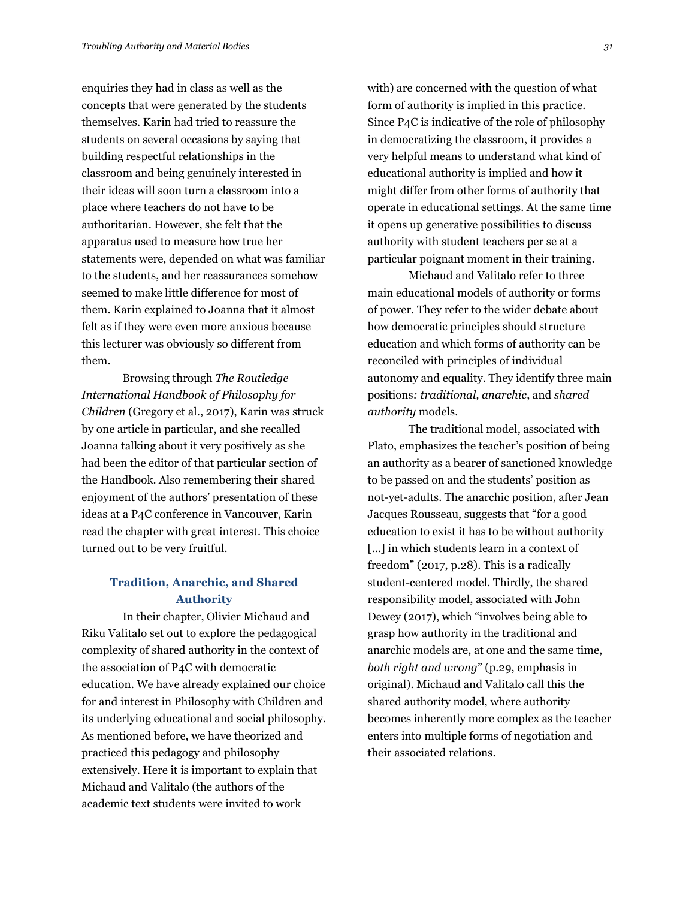enquiries they had in class as well as the concepts that were generated by the students themselves. Karin had tried to reassure the students on several occasions by saying that building respectful relationships in the classroom and being genuinely interested in their ideas will soon turn a classroom into a place where teachers do not have to be authoritarian. However, she felt that the apparatus used to measure how true her statements were, depended on what was familiar to the students, and her reassurances somehow seemed to make little difference for most of them. Karin explained to Joanna that it almost felt as if they were even more anxious because this lecturer was obviously so different from them.

Browsing through *The Routledge International Handbook of Philosophy for Children* (Gregory et al., 2017), Karin was struck by one article in particular, and she recalled Joanna talking about it very positively as she had been the editor of that particular section of the Handbook. Also remembering their shared enjoyment of the authors' presentation of these ideas at a P4C conference in Vancouver, Karin read the chapter with great interest. This choice turned out to be very fruitful.

## **Tradition, Anarchic, and Shared Authority**

In their chapter, Olivier Michaud and Riku Valitalo set out to explore the pedagogical complexity of shared authority in the context of the association of P4C with democratic education. We have already explained our choice for and interest in Philosophy with Children and its underlying educational and social philosophy. As mentioned before, we have theorized and practiced this pedagogy and philosophy extensively. Here it is important to explain that Michaud and Valitalo (the authors of the academic text students were invited to work

with) are concerned with the question of what form of authority is implied in this practice. Since P4C is indicative of the role of philosophy in democratizing the classroom, it provides a very helpful means to understand what kind of educational authority is implied and how it might differ from other forms of authority that operate in educational settings. At the same time it opens up generative possibilities to discuss authority with student teachers per se at a particular poignant moment in their training.

Michaud and Valitalo refer to three main educational models of authority or forms of power. They refer to the wider debate about how democratic principles should structure education and which forms of authority can be reconciled with principles of individual autonomy and equality. They identify three main positions*: traditional, anarchic*, and *shared authority* models.

The traditional model, associated with Plato, emphasizes the teacher's position of being an authority as a bearer of sanctioned knowledge to be passed on and the students' position as not-yet-adults. The anarchic position, after Jean Jacques Rousseau, suggests that "for a good education to exist it has to be without authority [...] in which students learn in a context of freedom" (2017, p.28). This is a radically student-centered model. Thirdly, the shared responsibility model, associated with John Dewey (2017), which "involves being able to grasp how authority in the traditional and anarchic models are, at one and the same time, *both right and wrong*" (p.29, emphasis in original). Michaud and Valitalo call this the shared authority model, where authority becomes inherently more complex as the teacher enters into multiple forms of negotiation and their associated relations.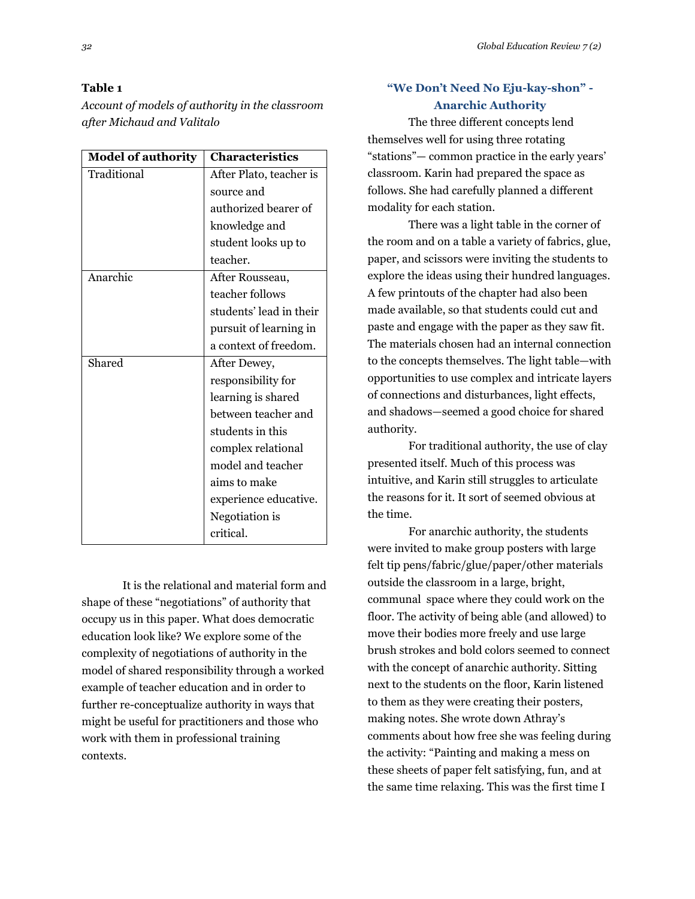## **Table 1**

*Account of models of authority in the classroom after Michaud and Valitalo*

| <b>Model of authority</b> | <b>Characteristics</b>  |
|---------------------------|-------------------------|
| Traditional               | After Plato, teacher is |
|                           | source and              |
|                           | authorized bearer of    |
|                           | knowledge and           |
|                           | student looks up to     |
|                           | teacher.                |
| Anarchic                  | After Rousseau,         |
|                           | teacher follows         |
|                           | students' lead in their |
|                           | pursuit of learning in  |
|                           | a context of freedom.   |
| Shared                    | After Dewey,            |
|                           | responsibility for      |
|                           | learning is shared      |
|                           | between teacher and     |
|                           | students in this        |
|                           | complex relational      |
|                           | model and teacher       |
|                           | aims to make            |
|                           | experience educative.   |
|                           | Negotiation is          |
|                           | critical.               |

It is the relational and material form and shape of these "negotiations" of authority that occupy us in this paper. What does democratic education look like? We explore some of the complexity of negotiations of authority in the model of shared responsibility through a worked example of teacher education and in order to further re-conceptualize authority in ways that might be useful for practitioners and those who work with them in professional training contexts.

# **"We Don't Need No Eju-kay-shon" - Anarchic Authority**

The three different concepts lend themselves well for using three rotating "stations"— common practice in the early years' classroom. Karin had prepared the space as follows. She had carefully planned a different modality for each station.

There was a light table in the corner of the room and on a table a variety of fabrics, glue, paper, and scissors were inviting the students to explore the ideas using their hundred languages. A few printouts of the chapter had also been made available, so that students could cut and paste and engage with the paper as they saw fit. The materials chosen had an internal connection to the concepts themselves. The light table—with opportunities to use complex and intricate layers of connections and disturbances, light effects, and shadows—seemed a good choice for shared authority.

For traditional authority, the use of clay presented itself. Much of this process was intuitive, and Karin still struggles to articulate the reasons for it. It sort of seemed obvious at the time.

For anarchic authority, the students were invited to make group posters with large felt tip pens/fabric/glue/paper/other materials outside the classroom in a large, bright, communal space where they could work on the floor. The activity of being able (and allowed) to move their bodies more freely and use large brush strokes and bold colors seemed to connect with the concept of anarchic authority. Sitting next to the students on the floor, Karin listened to them as they were creating their posters, making notes. She wrote down Athray's comments about how free she was feeling during the activity: "Painting and making a mess on these sheets of paper felt satisfying, fun, and at the same time relaxing. This was the first time I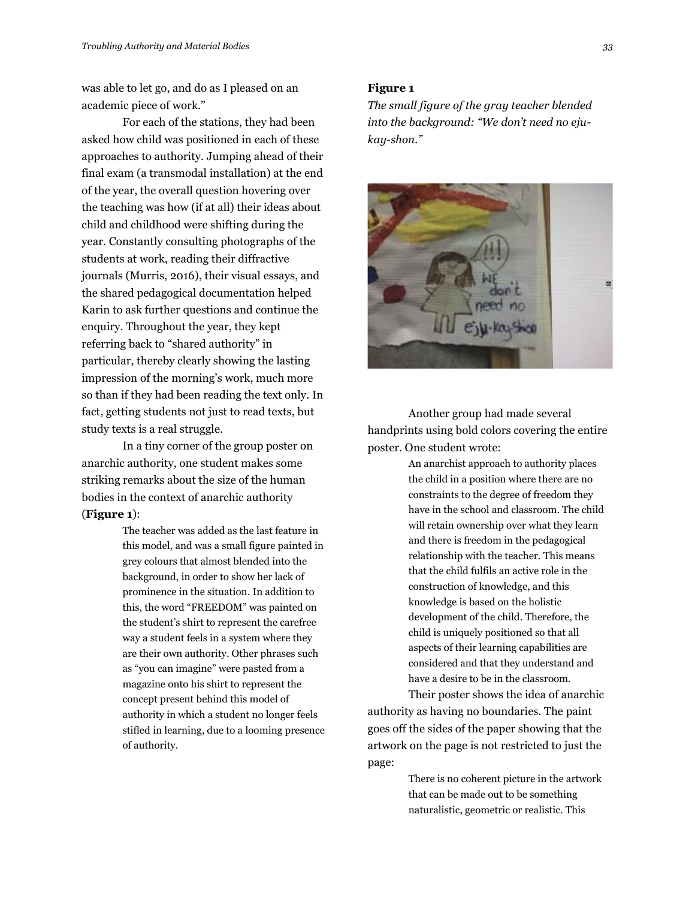was able to let go, and do as I pleased on an academic piece of work."

For each of the stations, they had been asked how child was positioned in each of these approaches to authority. Jumping ahead of their final exam (a transmodal installation) at the end of the year, the overall question hovering over the teaching was how (if at all) their ideas about child and childhood were shifting during the year. Constantly consulting photographs of the students at work, reading their diffractive journals (Murris, 2016), their visual essays, and the shared pedagogical documentation helped Karin to ask further questions and continue the enquiry. Throughout the year, they kept referring back to "shared authority" in particular, thereby clearly showing the lasting impression of the morning's work, much more so than if they had been reading the text only. In fact, getting students not just to read texts, but study texts is a real struggle.

In a tiny corner of the group poster on anarchic authority, one student makes some striking remarks about the size of the human bodies in the context of anarchic authority (**Figure 1**):

> The teacher was added as the last feature in this model, and was a small figure painted in grey colours that almost blended into the background, in order to show her lack of prominence in the situation. In addition to this, the word "FREEDOM" was painted on the student's shirt to represent the carefree way a student feels in a system where they are their own authority. Other phrases such as "you can imagine" were pasted from a magazine onto his shirt to represent the concept present behind this model of authority in which a student no longer feels stifled in learning, due to a looming presence of authority.

### **Figure 1**

*The small figure of the gray teacher blended into the background: "We don't need no ejukay-shon."*



Another group had made several handprints using bold colors covering the entire poster. One student wrote:

> An anarchist approach to authority places the child in a position where there are no constraints to the degree of freedom they have in the school and classroom. The child will retain ownership over what they learn and there is freedom in the pedagogical relationship with the teacher. This means that the child fulfils an active role in the construction of knowledge, and this knowledge is based on the holistic development of the child. Therefore, the child is uniquely positioned so that all aspects of their learning capabilities are considered and that they understand and have a desire to be in the classroom.

Their poster shows the idea of anarchic authority as having no boundaries. The paint goes off the sides of the paper showing that the artwork on the page is not restricted to just the page:

> There is no coherent picture in the artwork that can be made out to be something naturalistic, geometric or realistic. This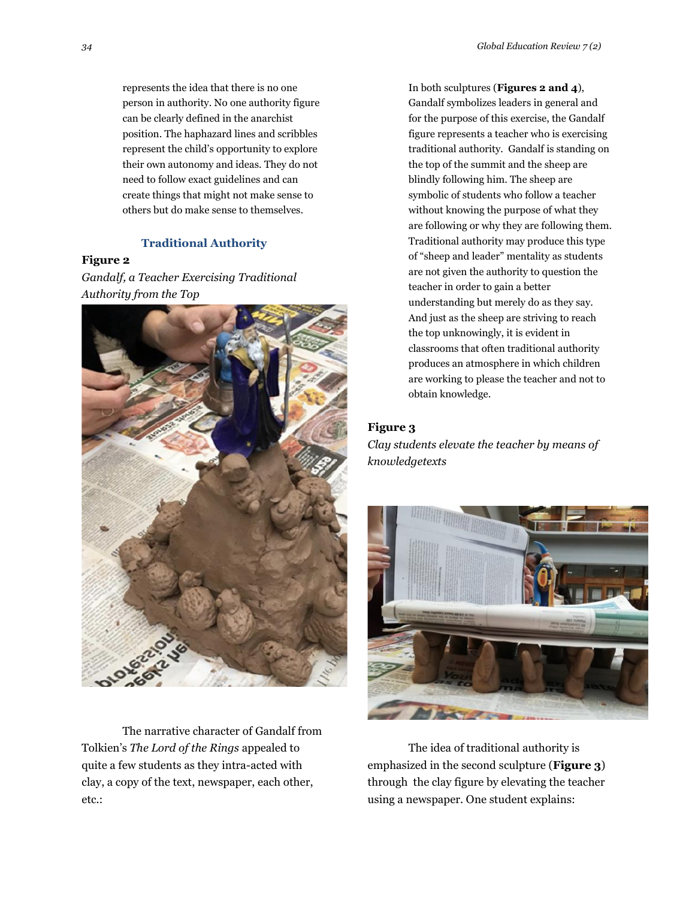represents the idea that there is no one person in authority. No one authority figure can be clearly defined in the anarchist position. The haphazard lines and scribbles represent the child's opportunity to explore their own autonomy and ideas. They do not need to follow exact guidelines and can create things that might not make sense to others but do make sense to themselves.

## **Traditional Authority**

**Figure 2**

*Gandalf, a Teacher Exercising Traditional Authority from the Top*



The narrative character of Gandalf from Tolkien's *The Lord of the Rings* appealed to quite a few students as they intra-acted with clay, a copy of the text, newspaper, each other, etc.:

In both sculptures (**Figures 2 and 4**), Gandalf symbolizes leaders in general and for the purpose of this exercise, the Gandalf figure represents a teacher who is exercising traditional authority. Gandalf is standing on the top of the summit and the sheep are blindly following him. The sheep are symbolic of students who follow a teacher without knowing the purpose of what they are following or why they are following them. Traditional authority may produce this type of "sheep and leader" mentality as students are not given the authority to question the teacher in order to gain a better understanding but merely do as they say. And just as the sheep are striving to reach the top unknowingly, it is evident in classrooms that often traditional authority produces an atmosphere in which children are working to please the teacher and not to obtain knowledge.

## **Figure 3**

*Clay students elevate the teacher by means of knowledgetexts*



The idea of traditional authority is emphasized in the second sculpture (**Figure 3**) through the clay figure by elevating the teacher using a newspaper. One student explains: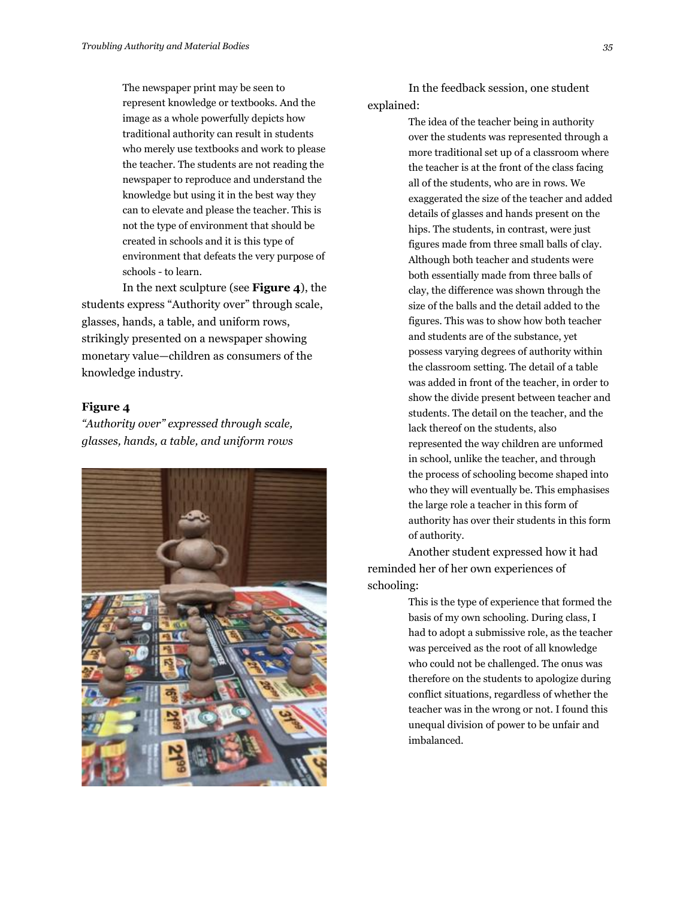The newspaper print may be seen to represent knowledge or textbooks. And the image as a whole powerfully depicts how traditional authority can result in students who merely use textbooks and work to please the teacher. The students are not reading the newspaper to reproduce and understand the knowledge but using it in the best way they can to elevate and please the teacher. This is not the type of environment that should be created in schools and it is this type of environment that defeats the very purpose of schools - to learn.

In the next sculpture (see **Figure 4**), the students express "Authority over" through scale, glasses, hands, a table, and uniform rows, strikingly presented on a newspaper showing monetary value—children as consumers of the knowledge industry.

### **Figure 4**

*"Authority over" expressed through scale, glasses, hands, a table, and uniform rows*



In the feedback session, one student explained:

> The idea of the teacher being in authority over the students was represented through a more traditional set up of a classroom where the teacher is at the front of the class facing all of the students, who are in rows. We exaggerated the size of the teacher and added details of glasses and hands present on the hips. The students, in contrast, were just figures made from three small balls of clay. Although both teacher and students were both essentially made from three balls of clay, the difference was shown through the size of the balls and the detail added to the figures. This was to show how both teacher and students are of the substance, yet possess varying degrees of authority within the classroom setting. The detail of a table was added in front of the teacher, in order to show the divide present between teacher and students. The detail on the teacher, and the lack thereof on the students, also represented the way children are unformed in school, unlike the teacher, and through the process of schooling become shaped into who they will eventually be. This emphasises the large role a teacher in this form of authority has over their students in this form of authority.

Another student expressed how it had reminded her of her own experiences of schooling:

> This is the type of experience that formed the basis of my own schooling. During class, I had to adopt a submissive role, as the teacher was perceived as the root of all knowledge who could not be challenged. The onus was therefore on the students to apologize during conflict situations, regardless of whether the teacher was in the wrong or not. I found this unequal division of power to be unfair and imbalanced.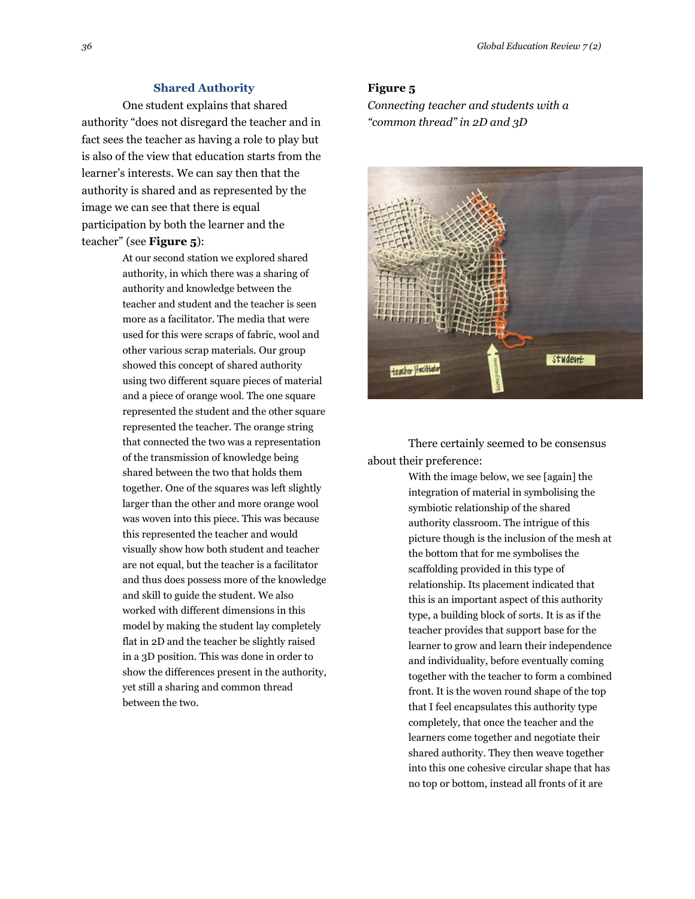### **Shared Authority**

One student explains that shared authority "does not disregard the teacher and in fact sees the teacher as having a role to play but is also of the view that education starts from the learner's interests. We can say then that the authority is shared and as represented by the image we can see that there is equal participation by both the learner and the teacher" (see **Figure 5**):

> At our second station we explored shared authority, in which there was a sharing of authority and knowledge between the teacher and student and the teacher is seen more as a facilitator. The media that were used for this were scraps of fabric, wool and other various scrap materials. Our group showed this concept of shared authority using two different square pieces of material and a piece of orange wool. The one square represented the student and the other square represented the teacher. The orange string that connected the two was a representation of the transmission of knowledge being shared between the two that holds them together. One of the squares was left slightly larger than the other and more orange wool was woven into this piece. This was because this represented the teacher and would visually show how both student and teacher are not equal, but the teacher is a facilitator and thus does possess more of the knowledge and skill to guide the student. We also worked with different dimensions in this model by making the student lay completely flat in 2D and the teacher be slightly raised in a 3D position. This was done in order to show the differences present in the authority, yet still a sharing and common thread between the two.

## **Figure 5**

*Connecting teacher and students with a "common thread" in 2D and 3D*



There certainly seemed to be consensus about their preference:

> With the image below, we see [again] the integration of material in symbolising the symbiotic relationship of the shared authority classroom. The intrigue of this picture though is the inclusion of the mesh at the bottom that for me symbolises the scaffolding provided in this type of relationship. Its placement indicated that this is an important aspect of this authority type, a building block of sorts. It is as if the teacher provides that support base for the learner to grow and learn their independence and individuality, before eventually coming together with the teacher to form a combined front. It is the woven round shape of the top that I feel encapsulates this authority type completely, that once the teacher and the learners come together and negotiate their shared authority. They then weave together into this one cohesive circular shape that has no top or bottom, instead all fronts of it are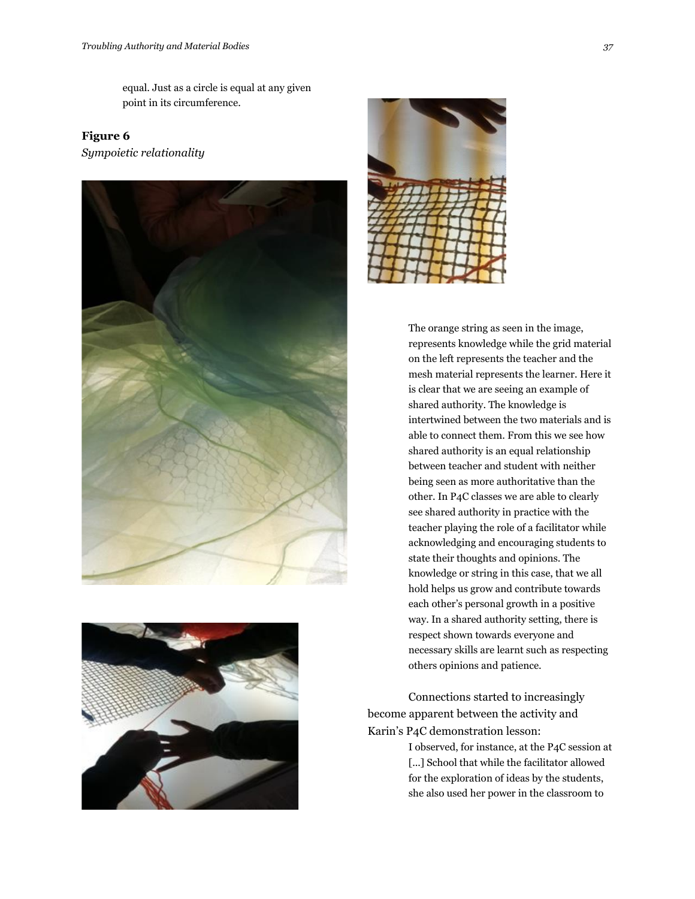equal. Just as a circle is equal at any given point in its circumference.

## **Figure 6**

*Sympoietic relationality*







The orange string as seen in the image, represents knowledge while the grid material on the left represents the teacher and the mesh material represents the learner. Here it is clear that we are seeing an example of shared authority. The knowledge is intertwined between the two materials and is able to connect them. From this we see how shared authority is an equal relationship between teacher and student with neither being seen as more authoritative than the other. In P4C classes we are able to clearly see shared authority in practice with the teacher playing the role of a facilitator while acknowledging and encouraging students to state their thoughts and opinions. The knowledge or string in this case, that we all hold helps us grow and contribute towards each other's personal growth in a positive way. In a shared authority setting, there is respect shown towards everyone and necessary skills are learnt such as respecting others opinions and patience.

Connections started to increasingly become apparent between the activity and Karin's P4C demonstration lesson:

> I observed, for instance, at the P4C session at [...] School that while the facilitator allowed for the exploration of ideas by the students, she also used her power in the classroom to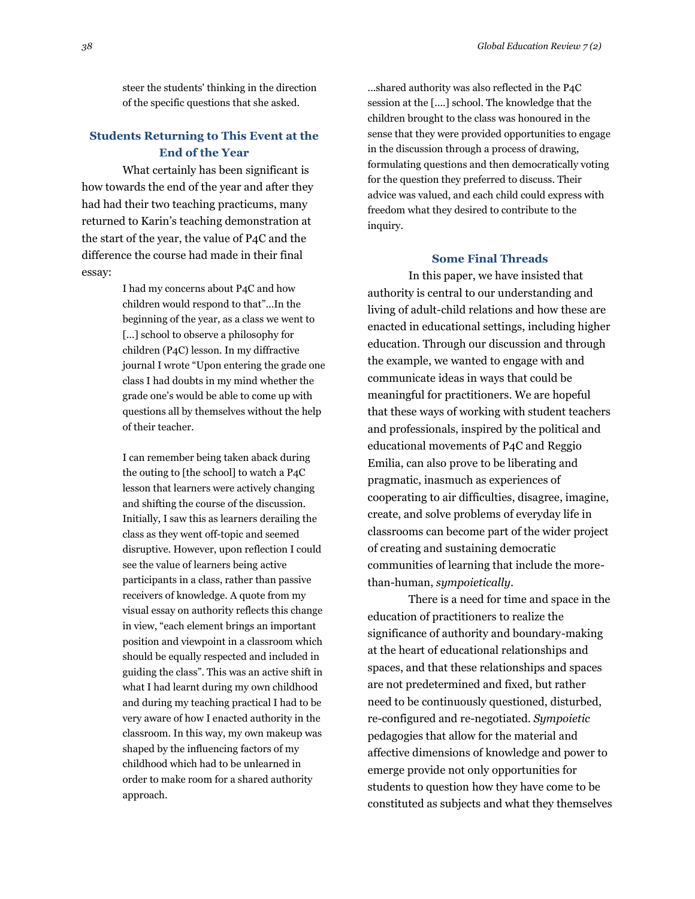steer the students' thinking in the direction of the specific questions that she asked.

# **Students Returning to This Event at the End of the Year**

What certainly has been significant is how towards the end of the year and after they had had their two teaching practicums, many returned to Karin's teaching demonstration at the start of the year, the value of P4C and the difference the course had made in their final essay:

> I had my concerns about P4C and how children would respond to that"…In the beginning of the year, as a class we went to [...] school to observe a philosophy for children (P4C) lesson. In my diffractive journal I wrote "Upon entering the grade one class I had doubts in my mind whether the grade one's would be able to come up with questions all by themselves without the help of their teacher.

I can remember being taken aback during the outing to [the school] to watch a P4C lesson that learners were actively changing and shifting the course of the discussion. Initially, I saw this as learners derailing the class as they went off-topic and seemed disruptive. However, upon reflection I could see the value of learners being active participants in a class, rather than passive receivers of knowledge. A quote from my visual essay on authority reflects this change in view, "each element brings an important position and viewpoint in a classroom which should be equally respected and included in guiding the class". This was an active shift in what I had learnt during my own childhood and during my teaching practical I had to be very aware of how I enacted authority in the classroom. In this way, my own makeup was shaped by the influencing factors of my childhood which had to be unlearned in order to make room for a shared authority approach.

...shared authority was also reflected in the P4C session at the [....] school. The knowledge that the children brought to the class was honoured in the sense that they were provided opportunities to engage in the discussion through a process of drawing, formulating questions and then democratically voting for the question they preferred to discuss. Their advice was valued, and each child could express with freedom what they desired to contribute to the inquiry.

## **Some Final Threads**

In this paper, we have insisted that authority is central to our understanding and living of adult-child relations and how these are enacted in educational settings, including higher education. Through our discussion and through the example, we wanted to engage with and communicate ideas in ways that could be meaningful for practitioners. We are hopeful that these ways of working with student teachers and professionals, inspired by the political and educational movements of P4C and Reggio Emilia, can also prove to be liberating and pragmatic, inasmuch as experiences of cooperating to air difficulties, disagree, imagine, create, and solve problems of everyday life in classrooms can become part of the wider project of creating and sustaining democratic communities of learning that include the morethan-human, *sympoietically*.

There is a need for time and space in the education of practitioners to realize the significance of authority and boundary-making at the heart of educational relationships and spaces, and that these relationships and spaces are not predetermined and fixed, but rather need to be continuously questioned, disturbed, re-configured and re-negotiated. *Sympoietic*  pedagogies that allow for the material and affective dimensions of knowledge and power to emerge provide not only opportunities for students to question how they have come to be constituted as subjects and what they themselves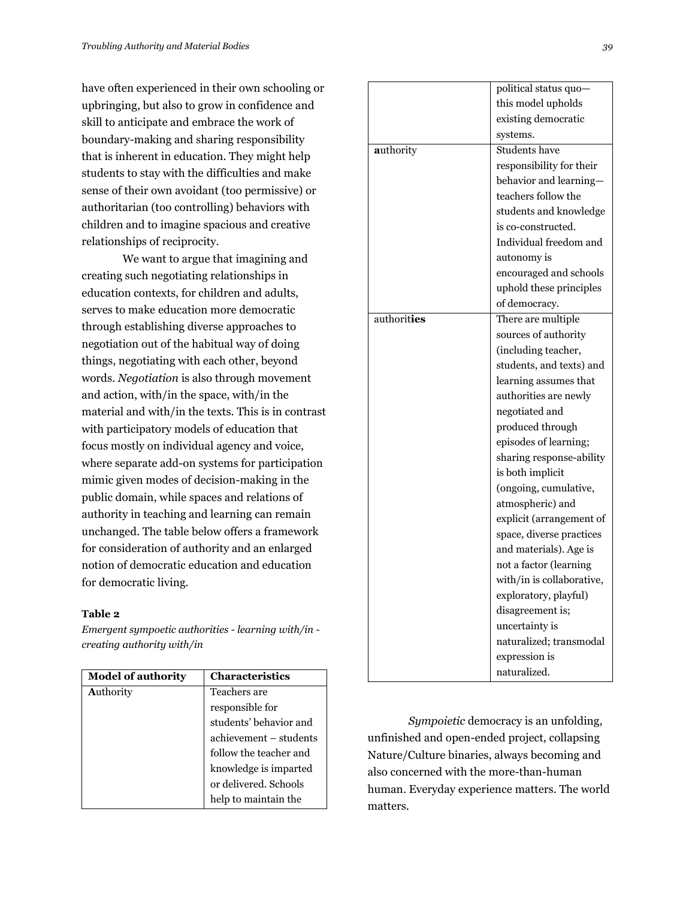have often experienced in their own schooling or upbringing, but also to grow in confidence and skill to anticipate and embrace the work of boundary-making and sharing responsibility that is inherent in education. They might help students to stay with the difficulties and make sense of their own avoidant (too permissive) or authoritarian (too controlling) behaviors with children and to imagine spacious and creative relationships of reciprocity.

We want to argue that imagining and creating such negotiating relationships in education contexts, for children and adults, serves to make education more democratic through establishing diverse approaches to negotiation out of the habitual way of doing things, negotiating with each other, beyond words. *Negotiation* is also through movement and action, with/in the space, with/in the material and with/in the texts. This is in contrast with participatory models of education that focus mostly on individual agency and voice, where separate add-on systems for participation mimic given modes of decision-making in the public domain, while spaces and relations of authority in teaching and learning can remain unchanged. The table below offers a framework for consideration of authority and an enlarged notion of democratic education and education for democratic living.

#### **Table 2**

*Emergent sympoetic authorities - learning with/in creating authority with/in*

| <b>Model of authority</b> | <b>Characteristics</b> |
|---------------------------|------------------------|
| Authority                 | Teachers are           |
|                           | responsible for        |
|                           | students' behavior and |
|                           | achievement – students |
|                           | follow the teacher and |
|                           | knowledge is imparted  |
|                           | or delivered. Schools  |
|                           | help to maintain the   |

|             | political status quo-     |
|-------------|---------------------------|
|             | this model upholds        |
|             | existing democratic       |
|             | systems.                  |
| authority   | Students have             |
|             | responsibility for their  |
|             | behavior and learning-    |
|             | teachers follow the       |
|             | students and knowledge    |
|             | is co-constructed.        |
|             | Individual freedom and    |
|             | autonomy is               |
|             | encouraged and schools    |
|             | uphold these principles   |
|             | of democracy.             |
| authorities | There are multiple        |
|             | sources of authority      |
|             | (including teacher,       |
|             | students, and texts) and  |
|             | learning assumes that     |
|             | authorities are newly     |
|             | negotiated and            |
|             | produced through          |
|             | episodes of learning;     |
|             | sharing response-ability  |
|             | is both implicit          |
|             | (ongoing, cumulative,     |
|             | atmospheric) and          |
|             | explicit (arrangement of  |
|             | space, diverse practices  |
|             | and materials). Age is    |
|             | not a factor (learning    |
|             | with/in is collaborative, |
|             | exploratory, playful)     |
|             | disagreement is;          |
|             | uncertainty is            |
|             | naturalized; transmodal   |
|             | expression is             |
|             | naturalized.              |

*Sympoietic* democracy is an unfolding, unfinished and open-ended project, collapsing Nature/Culture binaries, always becoming and also concerned with the more-than-human human. Everyday experience matters. The world matters.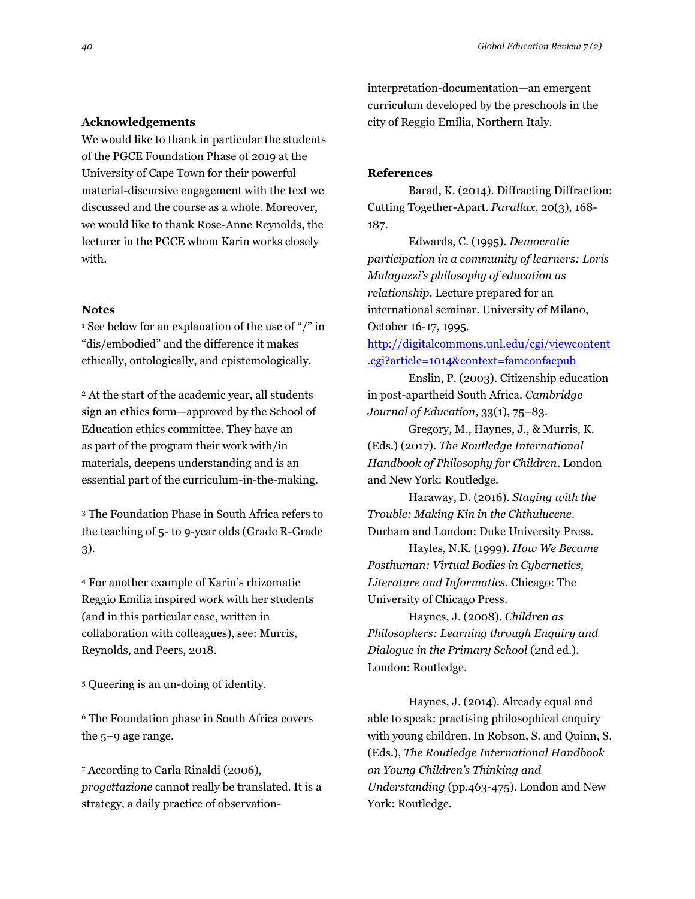### **Acknowledgements**

We would like to thank in particular the students of the PGCE Foundation Phase of 2019 at the University of Cape Town for their powerful material-discursive engagement with the text we discussed and the course as a whole. Moreover, we would like to thank Rose-Anne Reynolds, the lecturer in the PGCE whom Karin works closely with.

### **Notes**

<sup>1</sup> See below for an explanation of the use of "/" in "dis/embodied" and the difference it makes ethically, ontologically, and epistemologically.

<sup>2</sup> At the start of the academic year, all students sign an ethics form—approved by the School of Education ethics committee. They have an as part of the program their work with/in materials, deepens understanding and is an essential part of the curriculum-in-the-making.

<sup>3</sup> The Foundation Phase in South Africa refers to the teaching of 5- to 9-year olds (Grade R-Grade 3).

<sup>4</sup> For another example of Karin's rhizomatic Reggio Emilia inspired work with her students (and in this particular case, written in collaboration with colleagues), see: Murris, Reynolds, and Peers, 2018.

<sup>5</sup> Queering is an un-doing of identity.

<sup>6</sup> The Foundation phase in South Africa covers the 5–9 age range.

<sup>7</sup> According to Carla Rinaldi (2006), *progettazione* cannot really be translated. It is a strategy, a daily practice of observationinterpretation-documentation—an emergent curriculum developed by the preschools in the city of Reggio Emilia, Northern Italy.

### **References**

Barad, K. (2014). Diffracting Diffraction: Cutting Together-Apart. *Parallax,* 20(3), 168- 187.

Edwards, C. (1995). *Democratic participation in a community of learners: Loris Malaguzzi's philosophy of education as relationship*. Lecture prepared for an international seminar. University of Milano, October 16-17, 1995.

[http://digitalcommons.unl.edu/cgi/viewcontent](http://digitalcommons.unl.edu/cgi/viewcontent.cgi?article=1014&context=famconfacpub) [.cgi?article=1014&context=famconfacpub](http://digitalcommons.unl.edu/cgi/viewcontent.cgi?article=1014&context=famconfacpub)

Enslin, P. (2003). Citizenship education in post-apartheid South Africa. *Cambridge Journal of Education,* 33(1), 75–83.

Gregory, M., Haynes, J., & Murris, K. (Eds.) (2017). *The Routledge International Handbook of Philosophy for Children*. London and New York: Routledge.

Haraway, D. (2016). *Staying with the Trouble: Making Kin in the Chthulucene*. Durham and London: Duke University Press.

Hayles, N.K. (1999). *How We Became Posthuman: Virtual Bodies in Cybernetics, Literature and Informatics*. Chicago: The University of Chicago Press.

Haynes, J. (2008). *Children as Philosophers: Learning through Enquiry and Dialogue in the Primary School* (2nd ed.). London: Routledge.

Haynes, J. (2014). Already equal and able to speak: practising philosophical enquiry with young children. In Robson, S. and Quinn, S. (Eds.), *The Routledge International Handbook on Young Children's Thinking and Understanding* (pp.463-475). London and New York: Routledge.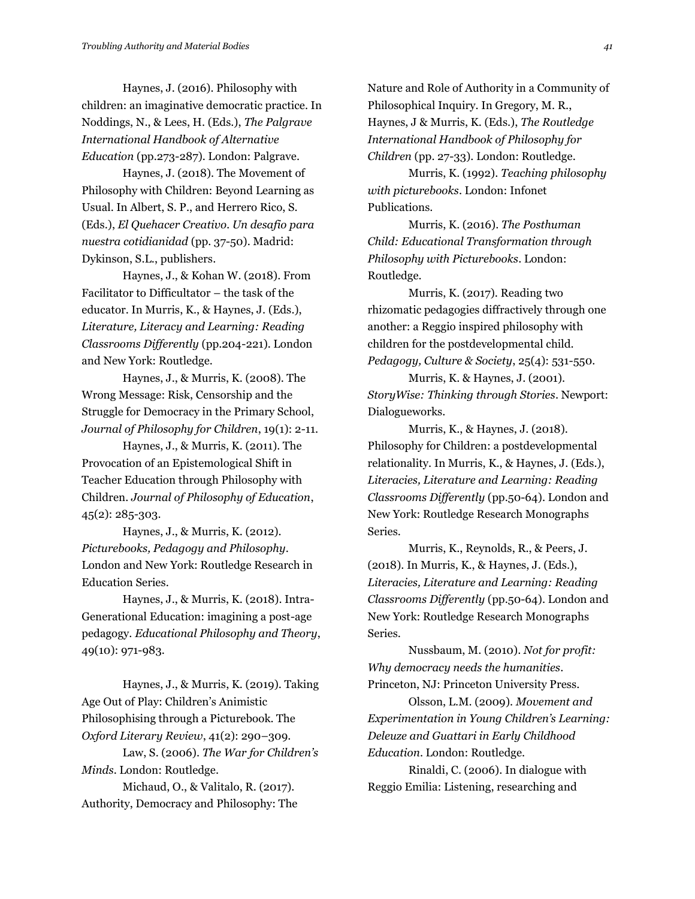Haynes, J. (2016). Philosophy with children: an imaginative democratic practice. In Noddings, N., & Lees, H. (Eds.), *The Palgrave International Handbook of Alternative Education* (pp.273-287). London: Palgrave.

Haynes, J. (2018). The Movement of Philosophy with Children: Beyond Learning as Usual. In Albert, S. P., and Herrero Rico, S. (Eds.), *El Quehacer Creativo. Un desafio para nuestra cotidianidad* (pp. 37-50). Madrid: Dykinson, S.L., publishers.

Haynes, J., & Kohan W. (2018). From Facilitator to Difficultator – the task of the educator. In Murris, K., & Haynes, J. (Eds.), *Literature, Literacy and Learning: Reading Classrooms Differently* (pp.204-221). London and New York: Routledge.

Haynes, J., & Murris, K. (2008). The Wrong Message: Risk, Censorship and the Struggle for Democracy in the Primary School, *Journal of Philosophy for Children*, 19(1): 2-11.

Haynes, J., & Murris, K. (2011). The Provocation of an Epistemological Shift in Teacher Education through Philosophy with Children. *Journal of Philosophy of Education*, 45(2): 285-303.

Haynes, J., & Murris, K. (2012). *Picturebooks, Pedagogy and Philosophy*. London and New York: Routledge Research in Education Series.

Haynes, J., & Murris, K. (2018). Intra-Generational Education: imagining a post-age pedagogy. *Educational Philosophy and Theory*, 49(10): 971-983.

Haynes, J., & Murris, K. (2019). Taking Age Out of Play: Children's Animistic Philosophising through a Picturebook. The *Oxford Literary Review*, 41(2): 290–309.

Law, S. (2006). *The War for Children's Minds*. London: Routledge.

Michaud, O., & Valitalo, R. (2017). Authority, Democracy and Philosophy: The Nature and Role of Authority in a Community of Philosophical Inquiry. In Gregory, M. R., Haynes, J & Murris, K. (Eds.), *The Routledge International Handbook of Philosophy for Children* (pp. 27-33). London: Routledge.

Murris, K. (1992). *Teaching philosophy with picturebooks*. London: Infonet Publications.

Murris, K. (2016). *The Posthuman Child: Educational Transformation through Philosophy with Picturebooks*. London: Routledge.

Murris, K. (2017). Reading two rhizomatic pedagogies diffractively through one another: a Reggio inspired philosophy with children for the postdevelopmental child. *Pedagogy, Culture & Society*, 25(4): 531-550.

Murris, K. & Haynes, J. (2001). *StoryWise: Thinking through Stories*. Newport: Dialogueworks.

Murris, K., & Haynes, J. (2018). Philosophy for Children: a postdevelopmental relationality. In Murris, K., & Haynes, J. (Eds.), *Literacies, Literature and Learning: Reading Classrooms Differently* (pp.50-64). London and New York: Routledge Research Monographs Series.

Murris, K., Reynolds, R., & Peers, J. (2018). In Murris, K., & Haynes, J. (Eds.), *Literacies, Literature and Learning: Reading Classrooms Differently* (pp.50-64). London and New York: Routledge Research Monographs Series.

Nussbaum, M. (2010). *Not for profit: Why democracy needs the humanities*. Princeton, NJ: Princeton University Press.

Olsson, L.M. (2009). *Movement and Experimentation in Young Children's Learning: Deleuze and Guattari in Early Childhood Education*. London: Routledge.

Rinaldi, C. (2006). In dialogue with Reggio Emilia: Listening, researching and